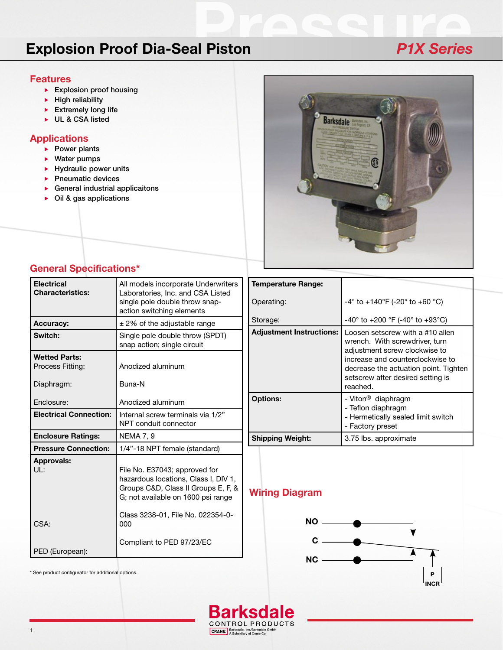# **Explosion Proof Dia-Seal Piston** *P1X Series*

#### **Features**

- Explosion proof housing
- $\blacktriangleright$  High reliability
- $\blacktriangleright$  Extremely long life
- UL & CSA listed

### **Applications**

- $\blacktriangleright$  Power plants
- ▶ Water pumps
- $\blacktriangleright$  Hydraulic power units
- $\blacktriangleright$  Pneumatic devices
- General industrial applicaitons
- ▶ Oil & gas applications



## **General Specifications\***

| <b>Electrical</b><br><b>Characteristics:</b> | All models incorporate Underwriters<br>Laboratories, Inc. and CSA Listed<br>single pole double throw snap-<br>action switching elements            |
|----------------------------------------------|----------------------------------------------------------------------------------------------------------------------------------------------------|
| <b>Accuracy:</b>                             | $\pm$ 2% of the adjustable range                                                                                                                   |
| Switch:                                      | Single pole double throw (SPDT)<br>snap action; single circuit                                                                                     |
| <b>Wetted Parts:</b><br>Process Fitting:     | Anodized aluminum                                                                                                                                  |
| Diaphragm:                                   | Buna-N                                                                                                                                             |
| Enclosure:                                   | Anodized aluminum                                                                                                                                  |
| <b>Electrical Connection:</b>                | Internal screw terminals via 1/2"<br>NPT conduit connector                                                                                         |
| <b>Enclosure Ratings:</b>                    | <b>NEMA 7, 9</b>                                                                                                                                   |
| <b>Pressure Connection:</b>                  | 1/4"-18 NPT female (standard)                                                                                                                      |
| <b>Approvals:</b><br>III:                    | File No. E37043; approved for<br>hazardous locations, Class I, DIV 1,<br>Groups C&D, Class II Groups E, F, &<br>G; not available on 1600 psi range |
| CSA:                                         | Class 3238-01, File No. 022354-0-<br>000                                                                                                           |
| PED (European):                              | Compliant to PED 97/23/EC                                                                                                                          |

| <b>Temperature Range:</b>       |                                                                                                                                                                                                                                   |
|---------------------------------|-----------------------------------------------------------------------------------------------------------------------------------------------------------------------------------------------------------------------------------|
| Operating:                      | $-4^{\circ}$ to $+140^{\circ}$ F (-20° to +60 °C)                                                                                                                                                                                 |
| Storage:                        | $-40^{\circ}$ to $+200^{\circ}$ F (-40° to $+93^{\circ}$ C)                                                                                                                                                                       |
| <b>Adjustment Instructions:</b> | Loosen setscrew with a #10 allen<br>wrench. With screwdriver, turn<br>adjustment screw clockwise to<br>increase and counterclockwise to<br>decrease the actuation point. Tighten<br>setscrew after desired setting is<br>reached. |
| <b>Options:</b>                 | - Viton <sup>®</sup> diaphragm<br>- Teflon diaphragm<br>- Hermetically sealed limit switch<br>- Factory preset                                                                                                                    |
| <b>Shipping Weight:</b>         | 3.75 lbs. approximate                                                                                                                                                                                                             |

## **Wiring Diagram**



\* See product configurator for additional options.



CRANE, Barksdale, Inc./Barksdale GmbH<br>A Subsidiary of Crane Co.